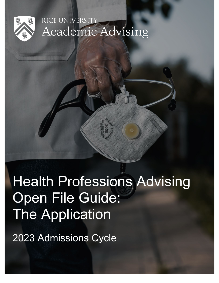

# RICE UNIVERSITY **Academic Advising**

# Health Professions Advising Open File Guide: The Application

2023 Admissions Cycle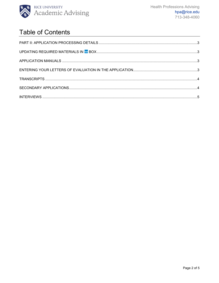

## **Table of Contents**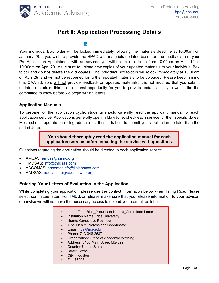

### **Part II: Application Processing Details**

<span id="page-2-1"></span><span id="page-2-0"></span>Your individual Box folder will be locked immediately following the materials deadline at 10:00am on January 28. If you wish to provide the HPAC with materials updated based on the feedback from your Pre-Application Appointment with an advisor, you will be able to do so from 10:00am on April 11 to 10:00am on April 29. Make sure to upload new copies of your updated materials to your individual Box folder and **do not delete the old copies**. The individual Box folders will relock immediately at 10:00am on April 29, and will not be reopened for further updated materials to be uploaded. Please keep in mind that OAA advisors will not provide feedback on updated materials. It is not required that you submit updated materials; this is an optional opportunity for you to provide updates that you would like the committee to know before we begin writing letters.

#### <span id="page-2-2"></span>**Application Manuals**

To prepare for the application cycle, students should carefully read the applicant manual for each application service. Applications generally open in May/June; check each service for their specific dates. Most schools operate on rolling admissions; thus, it is best to submit your application no later than the end of June.

> **You should thoroughly read the application manual for each application service before emailing the service with questions.**

Questions regarding the application should be directed to each application service.

- AMCAS: [amcas@aamc.org](mailto:amcas@aamc.org)
- TMDSAS: [info@tmdsas.com](mailto:info@tmdsas.com)
- AACOMAS: [aacomasinfo@liaisoncas.com](mailto:aacomasinfo@liaisoncas.com)
- AADSAS: [aadsasinfo@aadsasweb.org](mailto:aadsasinfo@aadsasweb.org)

#### <span id="page-2-3"></span>**Entering Your Letters of Evaluation in the Application**

While completing your application, please use the contact information below when listing Rice. Please select committee letter. For TMDSAS, please make sure that you release information to your advisor, otherwise we will not have the necessary access to upload your committee letter.

- Letter Title: Rice (Your Last Name) Committee Letter
- Institution Name: Rice University
- Name: Genevieve Robinson
- Title: Health Professions Coordinator
- Email: [hpa@rice.edu](mailto:hpa@rice.edu)
- Phone: 713-348-2637
- Organization: Office of Academic Advising
- Address: 6100 Main Street MS-529
- Country: United States
- State: Texas
- City: Houston
- <span id="page-2-4"></span>• Zip: 77005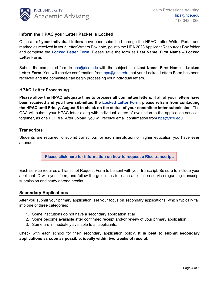

#### **Inform the HPAC your Letter Packet is Locked**

Once **all of your individual letters** have been submitted through the HPAC Letter Writer Portal and marked as received in your Letter Writers Box note, go into the HPA 2023 Applicant Resources Box folder and complete the **Locked [Letter Form](https://rice.app.box.com/folder/145679900664)**. Please save the form as **Last Name, First Name – Locked Letter Form.**

Submit the completed form to [hpa@rice.edu](mailto:hpa@rice.edu) with the subject line: **Last Name, First Name – Locked Letter Form.** You will receive confirmation from [hpa@rice.edu](mailto:hpa@rice.edu) that your Locked Letters Form has been received and the committee can begin processing your individual letters.

#### **HPAC Letter Processing**

**Please allow the HPAC adequate time to process all committee letters. If all of your letters have been received and you have submitted the [Locked Letter](https://rice.app.box.com/folder/145679900664) Form, please refrain from contacting the HPAC until Friday, August 5 to check on the status of your committee letter submission**. The OAA will submit your HPAC letter along with individual letters of evaluation to the application services together, as one PDF file. After upload, you will receive email confirmation from [hpa@rice.edu.](mailto:hpa@rice.edu)

#### **Transcripts**

Students are required to submit transcripts for **each institution** of higher education you have **ever** attended.

**[Please click here for information on how to request a](https://registrar.rice.edu/students/transcripts) Rice transcript.** 

Each service requires a Transcript Request Form to be sent with your transcript. Be sure to include your applicant ID with your form, and follow the guidelines for each application service regarding transcript submission and study abroad credits.

#### <span id="page-3-0"></span>**Secondary Applications**

After you submit your primary application, set your focus on secondary applications, which typically fall into one of three categories:

- 1. Some institutions do not have a secondary application at all.
- 2. Some become available after confirmed receipt and/or review of your primary application.
- 3. Some are immediately available to all applicants.

Check with each school for their secondary application policy. **It is best to submit secondary applications as soon as possible, ideally within two weeks of receipt.**